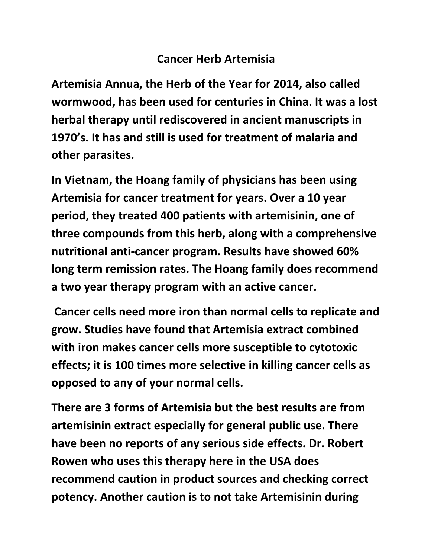## **Cancer Herb Artemisia**

Artemisia Annua, the Herb of the Year for 2014, also called wormwood, has been used for centuries in China. It was a lost **herbal therapy until rediscovered in ancient manuscripts in 1970's. It has and still is used for treatment of malaria and other parasites.** 

In Vietnam, the Hoang family of physicians has been using Artemisia for cancer treatment for years. Over a 10 year period, they treated 400 patients with artemisinin, one of **three compounds from this herb, along with a comprehensive nutritional anti-cancer program. Results have showed 60% long term remission rates. The Hoang family does recommend** a two year therapy program with an active cancer.

Cancer cells need more iron than normal cells to replicate and **grow. Studies have found that Artemisia extract combined**  with iron makes cancer cells more susceptible to cytotoxic **effects; it is 100 times more selective in killing cancer cells as opposed to any of your normal cells.**

**There are 3 forms of Artemisia but the best results are from artemisinin extract especially for general public use. There have been no reports of any serious side effects. Dr. Robert Rowen** who uses this therapy here in the USA does **recommend caution in product sources and checking correct potency.** Another caution is to not take Artemisinin during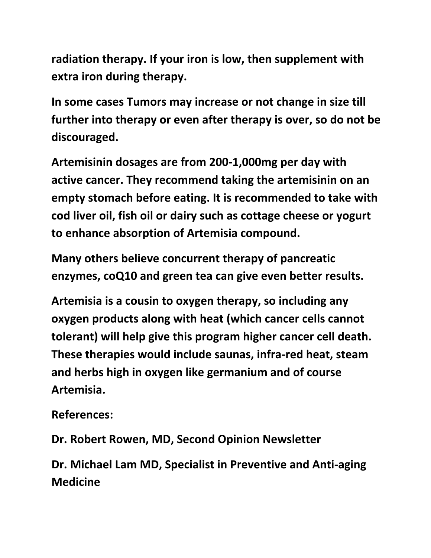radiation therapy. If your iron is low, then supplement with **extra iron during therapy.** 

In some cases Tumors may increase or not change in size till **further into therapy or even after therapy is over, so do not be discouraged.**

Artemisinin dosages are from 200-1,000mg per day with active cancer. They recommend taking the artemisinin on an **empty stomach before eating. It is recommended to take with** cod liver oil, fish oil or dairy such as cottage cheese or yogurt **to enhance absorption of Artemisia compound.** 

**Many others believe concurrent therapy of pancreatic enzymes, coQ10 and green tea can give even better results.** 

Artemisia is a cousin to oxygen therapy, so including any **oxygen products along with heat (which cancer cells cannot tolerant)** will help give this program higher cancer cell death. These therapies would include saunas, infra-red heat, steam and herbs high in oxygen like germanium and of course **Artemisia.**

**References:**

**Dr. Robert Rowen, MD, Second Opinion Newsletter**

Dr. Michael Lam MD, Specialist in Preventive and Anti-aging **Medicine**